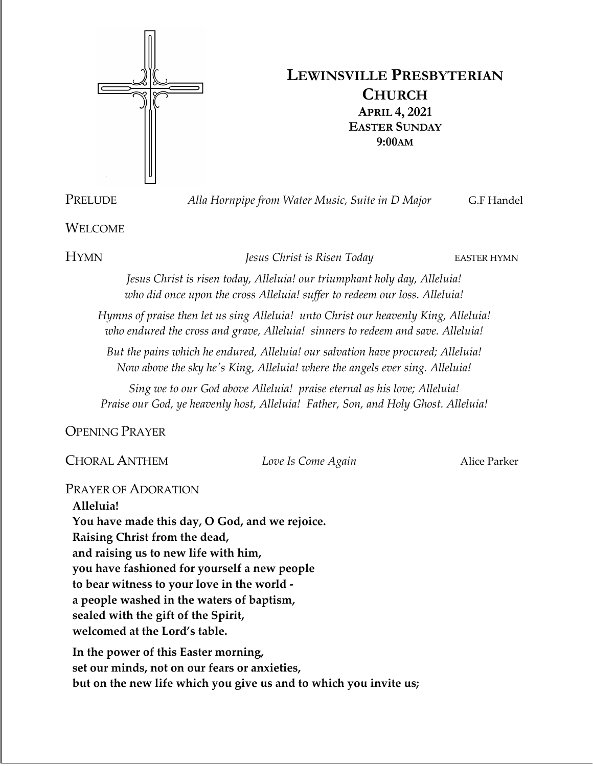

# **LEWINSVILLE PRESBYTERIAN CHURCH APRIL 4, 2021 EASTER SUNDAY 9:00AM**

PRELUDE *Alla Hornpipe from Water Music, Suite in D Major* G.F Handel

## WELCOME

HYMN *Jesus Christ is Risen Today* EASTER HYMN

*Jesus Christ is risen today, Alleluia! our triumphant holy day, Alleluia! who did once upon the cross Alleluia! suffer to redeem our loss. Alleluia!*

*Hymns of praise then let us sing Alleluia! unto Christ our heavenly King, Alleluia! who endured the cross and grave, Alleluia! sinners to redeem and save. Alleluia!*

*But the pains which he endured, Alleluia! our salvation have procured; Alleluia! Now above the sky he's King, Alleluia! where the angels ever sing. Alleluia!*

*Sing we to our God above Alleluia! praise eternal as his love; Alleluia! Praise our God, ye heavenly host, Alleluia! Father, Son, and Holy Ghost. Alleluia!*

OPENING PRAYER

CHORAL ANTHEM *Love Is Come Again* Alice Parker

PRAYER OF ADORATION

**Alleluia! You have made this day, O God, and we rejoice. Raising Christ from the dead, and raising us to new life with him, you have fashioned for yourself a new people to bear witness to your love in the world a people washed in the waters of baptism, sealed with the gift of the Spirit, welcomed at the Lord's table. In the power of this Easter morning,**

**set our minds, not on our fears or anxieties, but on the new life which you give us and to which you invite us;**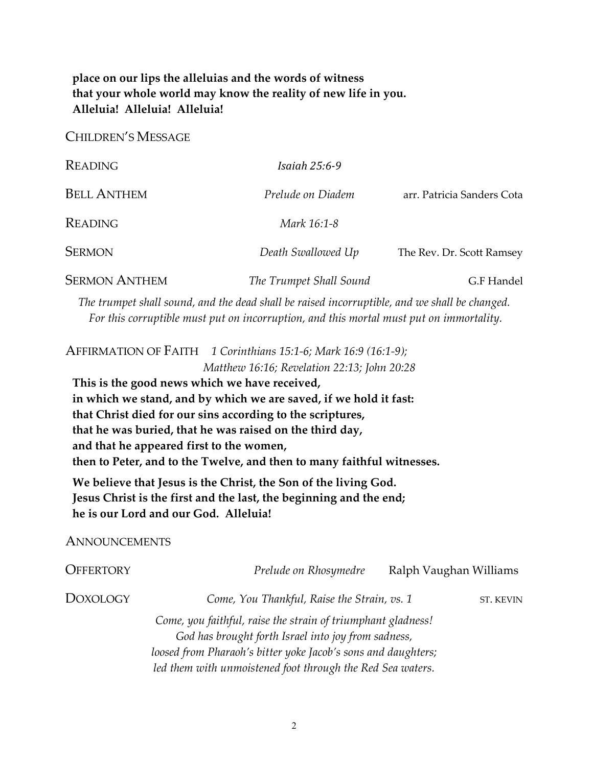## **place on our lips the alleluias and the words of witness that your whole world may know the reality of new life in you. Alleluia! Alleluia! Alleluia!**

CHILDREN'S MESSAGE

| <b>READING</b>       | <i>Isaiah 25:6-9</i>    |                            |
|----------------------|-------------------------|----------------------------|
| <b>BELL ANTHEM</b>   | Prelude on Diadem       | arr. Patricia Sanders Cota |
| <b>READING</b>       | Mark 16:1-8             |                            |
| <b>SERMON</b>        | Death Swallowed Up      | The Rev. Dr. Scott Ramsey  |
| <b>SERMON ANTHEM</b> | The Trumpet Shall Sound | G.F Handel                 |

*The trumpet shall sound, and the dead shall be raised incorruptible, and we shall be changed. For this corruptible must put on incorruption, and this mortal must put on immortality.*

AFFIRMATION OF FAITH *1 Corinthians 15:1-6; Mark 16:9 (16:1-9); Matthew 16:16; Revelation 22:13; John 20:28* **This is the good news which we have received, in which we stand, and by which we are saved, if we hold it fast: that Christ died for our sins according to the scriptures, that he was buried, that he was raised on the third day, and that he appeared first to the women, then to Peter, and to the Twelve, and then to many faithful witnesses. We believe that Jesus is the Christ, the Son of the living God. Jesus Christ is the first and the last, the beginning and the end; he is our Lord and our God. Alleluia! ANNOUNCEMENTS** OFFERTORY *Prelude on Rhosymedre* Ralph Vaughan Williams **DOXOLOGY** *Come, You Thankful, Raise the Strain, vs. 1* ST. KEVIN *Come, you faithful, raise the strain of triumphant gladness! God has brought forth Israel into joy from sadness, loosed from Pharaoh's bitter yoke Jacob's sons and daughters; led them with unmoistened foot through the Red Sea waters.*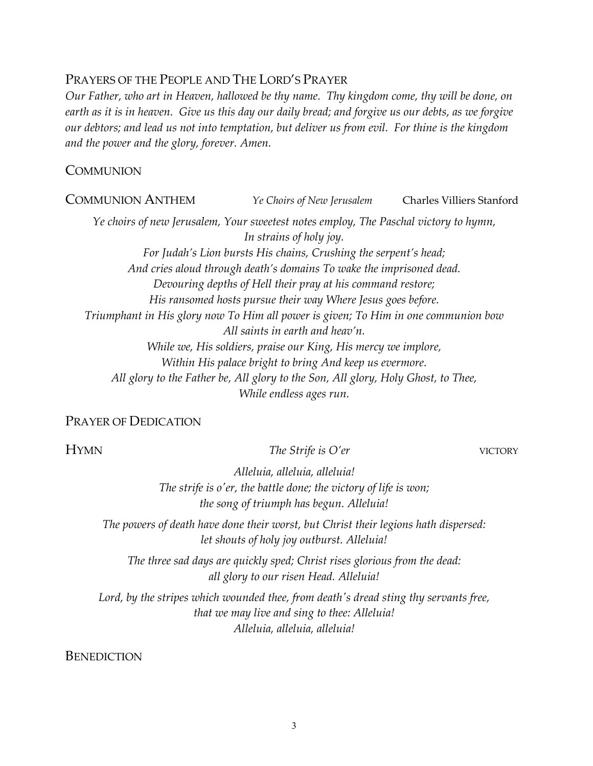## PRAYERS OF THE PEOPLE AND THE LORD'S PRAYER

*Our Father, who art in Heaven, hallowed be thy name. Thy kingdom come, thy will be done, on earth as it is in heaven. Give us this day our daily bread; and forgive us our debts, as we forgive our debtors; and lead us not into temptation, but deliver us from evil. For thine is the kingdom and the power and the glory, forever. Amen.*

## **COMMUNION**

COMMUNION ANTHEM *Ye Choirs of New Jerusalem* Charles Villiers Stanford *Ye choirs of new Jerusalem, Your sweetest notes employ, The Paschal victory to hymn, In strains of holy joy. For Judah's Lion bursts His chains, Crushing the serpent's head; And cries aloud through death's domains To wake the imprisoned dead. Devouring depths of Hell their pray at his command restore; His ransomed hosts pursue their way Where Jesus goes before. Triumphant in His glory now To Him all power is given; To Him in one communion bow All saints in earth and heav'n. While we, His soldiers, praise our King, His mercy we implore, Within His palace bright to bring And keep us evermore. All glory to the Father be, All glory to the Son, All glory, Holy Ghost, to Thee, While endless ages run.*

## PRAYER OF DEDICATION

**The Strife is O'er** VICTORY

*Alleluia, alleluia, alleluia! The strife is o'er, the battle done; the victory of life is won; the song of triumph has begun. Alleluia!*

*The powers of death have done their worst, but Christ their legions hath dispersed: let shouts of holy joy outburst. Alleluia!*

*The three sad days are quickly sped; Christ rises glorious from the dead: all glory to our risen Head. Alleluia!*

*Lord, by the stripes which wounded thee, from death's dread sting thy servants free, that we may live and sing to thee: Alleluia! Alleluia, alleluia, alleluia!*

**BENEDICTION**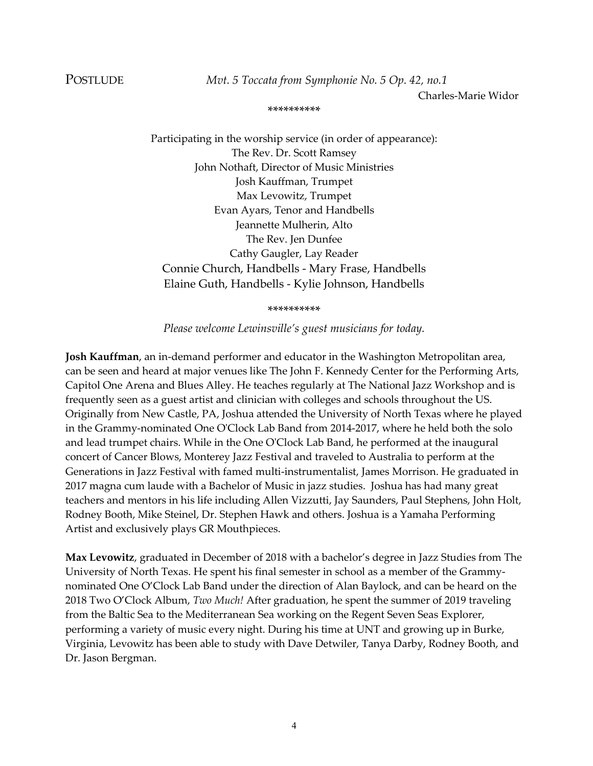POSTLUDE *Mvt. 5 Toccata from Symphonie No. 5 Op. 42, no.1*

Charles-Marie Widor

#### \*\*\*\*\*\*\*\*\*\*

Participating in the worship service (in order of appearance): The Rev. Dr. Scott Ramsey John Nothaft, Director of Music Ministries Josh Kauffman, Trumpet Max Levowitz, Trumpet Evan Ayars, Tenor and Handbells Jeannette Mulherin, Alto The Rev. Jen Dunfee Cathy Gaugler, Lay Reader Connie Church, Handbells - Mary Frase, Handbells Elaine Guth, Handbells - Kylie Johnson, Handbells

\*\*\*\*\*\*\*\*\*\*

*Please welcome Lewinsville's guest musicians for today.*

**Josh Kauffman**, an in-demand performer and educator in the Washington Metropolitan area, can be seen and heard at major venues like The John F. Kennedy Center for the Performing Arts, Capitol One Arena and Blues Alley. He teaches regularly at The National Jazz Workshop and is frequently seen as a guest artist and clinician with colleges and schools throughout the US. Originally from New Castle, PA, Joshua attended the University of North Texas where he played in the Grammy-nominated One O'Clock Lab Band from 2014-2017, where he held both the solo and lead trumpet chairs. While in the One O'Clock Lab Band, he performed at the inaugural concert of Cancer Blows, Monterey Jazz Festival and traveled to Australia to perform at the Generations in Jazz Festival with famed multi-instrumentalist, James Morrison. He graduated in 2017 magna cum laude with a Bachelor of Music in jazz studies. Joshua has had many great teachers and mentors in his life including Allen Vizzutti, Jay Saunders, Paul Stephens, John Holt, Rodney Booth, Mike Steinel, Dr. Stephen Hawk and others. Joshua is a Yamaha Performing Artist and exclusively plays GR Mouthpieces.

**Max Levowitz**, graduated in December of 2018 with a bachelor's degree in Jazz Studies from The University of North Texas. He spent his final semester in school as a member of the Grammynominated One O'Clock Lab Band under the direction of Alan Baylock, and can be heard on the 2018 Two O'Clock Album, *Two Much!* After graduation, he spent the summer of 2019 traveling from the Baltic Sea to the Mediterranean Sea working on the Regent Seven Seas Explorer, performing a variety of music every night. During his time at UNT and growing up in Burke, Virginia, Levowitz has been able to study with Dave Detwiler, Tanya Darby, Rodney Booth, and Dr. Jason Bergman.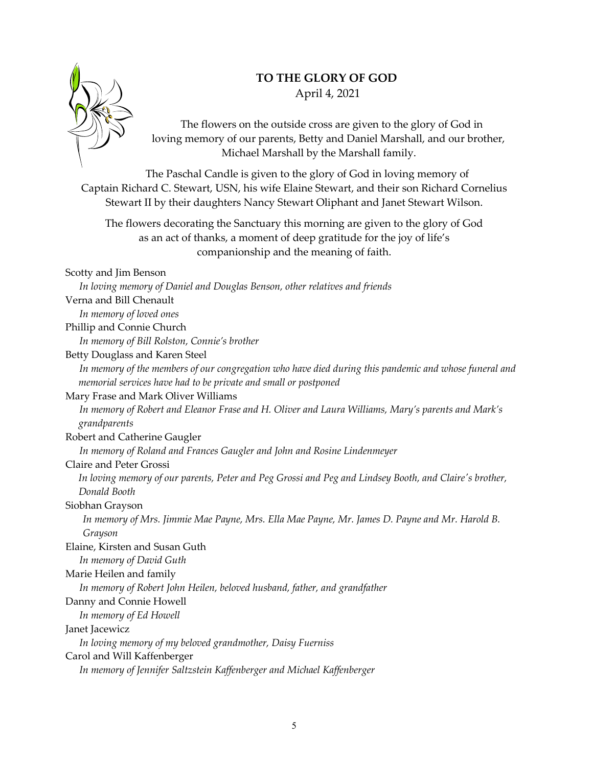## **TO THE GLORY OF GOD**



April 4, 2021

The flowers on the outside cross are given to the glory of God in loving memory of our parents, Betty and Daniel Marshall, and our brother, Michael Marshall by the Marshall family.

The Paschal Candle is given to the glory of God in loving memory of Captain Richard C. Stewart, USN, his wife Elaine Stewart, and their son Richard Cornelius Stewart II by their daughters Nancy Stewart Oliphant and Janet Stewart Wilson.

The flowers decorating the Sanctuary this morning are given to the glory of God as an act of thanks, a moment of deep gratitude for the joy of life's companionship and the meaning of faith.

#### Scotty and Jim Benson

*In loving memory of Daniel and Douglas Benson, other relatives and friends* Verna and Bill Chenault

*In memory of loved ones*

Phillip and Connie Church

*In memory of Bill Rolston, Connie's brother*

Betty Douglass and Karen Steel

*In memory of the members of our congregation who have died during this pandemic and whose funeral and memorial services have had to be private and small or postponed*

#### Mary Frase and Mark Oliver Williams

*In memory of Robert and Eleanor Frase and H. Oliver and Laura Williams, Mary's parents and Mark's grandparents*

Robert and Catherine Gaugler

*In memory of Roland and Frances Gaugler and John and Rosine Lindenmeyer*

## Claire and Peter Grossi

*In loving memory of our parents, Peter and Peg Grossi and Peg and Lindsey Booth, and Claire's brother, Donald Booth* 

## Siobhan Grayson

*In memory of Mrs. Jimmie Mae Payne, Mrs. Ella Mae Payne, Mr. James D. Payne and Mr. Harold B. Grayson*

Elaine, Kirsten and Susan Guth

*In memory of David Guth*

## Marie Heilen and family

*In memory of Robert John Heilen, beloved husband, father, and grandfather*

## Danny and Connie Howell

*In memory of Ed Howell*

## Janet Jacewicz

*In loving memory of my beloved grandmother, Daisy Fuerniss*

Carol and Will Kaffenberger

*In memory of Jennifer Saltzstein Kaffenberger and Michael Kaffenberger*